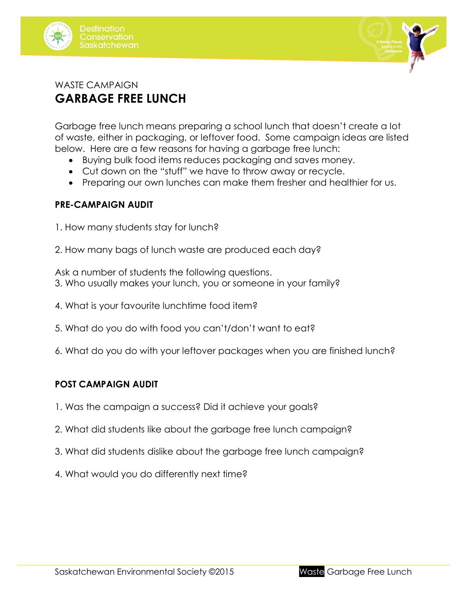



# WASTE CAMPAIGN **GARBAGE FREE LUNCH**

Garbage free lunch means preparing a school lunch that doesn't create a lot of waste, either in packaging, or leftover food. Some campaign ideas are listed below. Here are a few reasons for having a garbage free lunch:

- Buying bulk food items reduces packaging and saves money.
- Cut down on the "stuff" we have to throw away or recycle.
- Preparing our own lunches can make them fresher and healthier for us.

#### **PRE-CAMPAIGN AUDIT**

- 1. How many students stay for lunch?
- 2. How many bags of lunch waste are produced each day?

Ask a number of students the following questions. 3. Who usually makes your lunch, you or someone in your family?

- 4. What is your favourite lunchtime food item?
- 5. What do you do with food you can't/don't want to eat?
- 6. What do you do with your leftover packages when you are finished lunch?

### **POST CAMPAIGN AUDIT**

- 1. Was the campaign a success? Did it achieve your goals?
- 2. What did students like about the garbage free lunch campaign?
- 3. What did students dislike about the garbage free lunch campaign?
- 4. What would you do differently next time?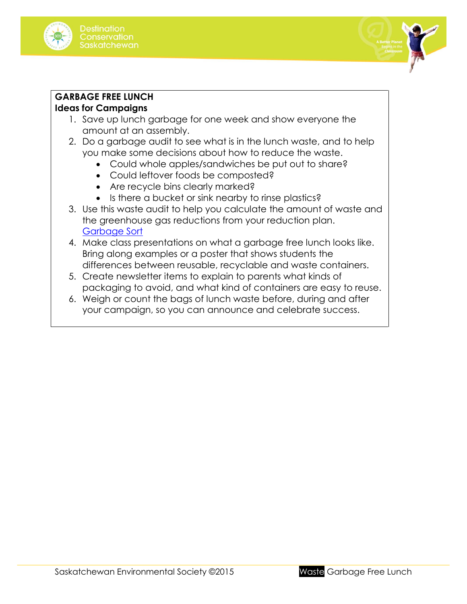



#### **GARBAGE FREE LUNCH**

## **Ideas for Campaigns**

- 1. Save up lunch garbage for one week and show everyone the amount at an assembly.
- 2. Do a garbage audit to see what is in the lunch waste, and to help you make some decisions about how to reduce the waste.
	- Could whole apples/sandwiches be put out to share?
	- Could leftover foods be composted?
	- Are recycle bins clearly marked?
	- Is there a bucket or sink nearby to rinse plastics?
- 3. Use this waste audit to help you calculate the amount of waste and the greenhouse gas reductions from your reduction plan. [Garbage Sort](http://environmentalsociety.ca/wp-content/uploads/2015/07/Waste-audit-garbage-sort.pdf)
- 4. Make class presentations on what a garbage free lunch looks like. Bring along examples or a poster that shows students the differences between reusable, recyclable and waste containers.
- 5. Create newsletter items to explain to parents what kinds of packaging to avoid, and what kind of containers are easy to reuse.
- 6. Weigh or count the bags of lunch waste before, during and after your campaign, so you can announce and celebrate success.